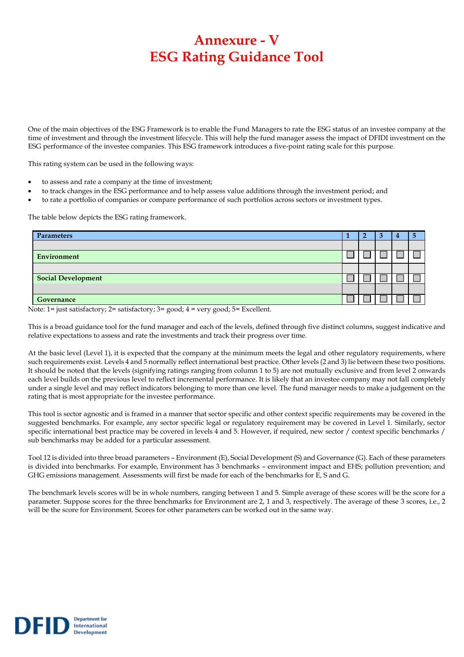## **Annexure - V ESG Rating Guidance Tool**

One of the main objectives of the ESG Framework is to enable the Fund Managers to rate the ESG status of an investee company at the time of investment and through the investment lifecycle. This will help the fund manager assess the impact of DFIDI investment on the ESG performance of the investee companies. This ESG framework introduces a five-point rating scale for this purpose.

This rating system can be used in the following ways:

- to assess and rate a company at the time of investment;
- to track changes in the ESG performance and to help assess value additions through the investment period; and
- to rate a portfolio of companies or compare performance of such portfolios across sectors or investment types.

The table below depicts the ESG rating framework.

**Department** for

International **Development** 

DEID

| <b>Parameters</b>                                                                                                             |  | 4 | n |
|-------------------------------------------------------------------------------------------------------------------------------|--|---|---|
|                                                                                                                               |  |   |   |
| <b>Environment</b>                                                                                                            |  |   |   |
|                                                                                                                               |  |   |   |
| <b>Social Development</b>                                                                                                     |  |   |   |
|                                                                                                                               |  |   |   |
| Governance<br>the contract of the contract of the contract of the contract of the contract of the contract of the contract of |  |   |   |

Note: 1= just satisfactory; 2= satisfactory; 3= good; 4 = very good; 5= Excellent.

This is a broad guidance tool for the fund manager and each of the levels, defined through five distinct columns, suggest indicative and relative expectations to assess and rate the investments and track their progress over time.

At the basic level (Level 1), it is expected that the company at the minimum meets the legal and other regulatory requirements, where such requirements exist. Levels 4 and 5 normally reflect international best practice. Other levels (2 and 3) lie between these two positions. It should be noted that the levels (signifying ratings ranging from column 1 to 5) are not mutually exclusive and from level 2 onwards each level builds on the previous level to reflect incremental performance. It is likely that an investee company may not fall completely under a single level and may reflect indicators belonging to more than one level. The fund manager needs to make a judgement on the rating that is most appropriate for the investee performance.

This tool is sector agnostic and is framed in a manner that sector specific and other context specific requirements may be covered in the suggested benchmarks. For example, any sector specific legal or regulatory requirement may be covered in Level 1. Similarly, sector specific international best practice may be covered in levels 4 and 5. However, if required, new sector / context specific benchmarks / sub benchmarks may be added for a particular assessment.

Tool 12 is divided into three broad parameters – Environment (E), Social Development (S) and Governance (G). Each of these parameters is divided into benchmarks. For example, Environment has 3 benchmarks – environment impact and EHS; pollution prevention; and GHG emissions management. Assessments will first be made for each of the benchmarks for E, S and G.

The benchmark levels scores will be in whole numbers, ranging between 1 and 5. Simple average of these scores will be the score for a parameter. Suppose scores for the three benchmarks for Environment are 2, 1 and 3, respectively. The average of these 3 scores, i.e., 2 will be the score for Environment. Scores for other parameters can be worked out in the same way.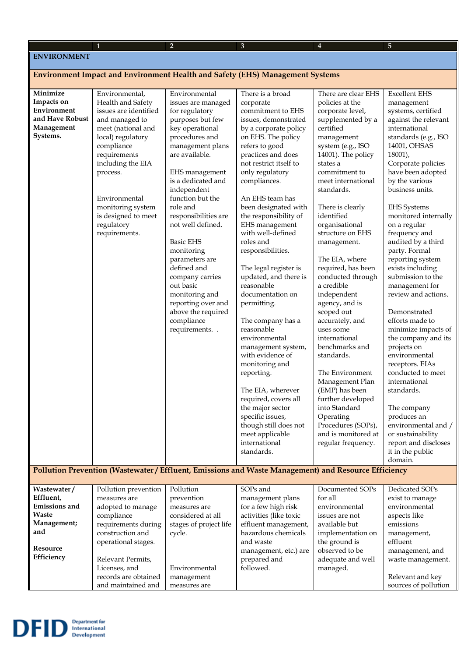## **ENVIRONMENT**

## **Environment Impact and Environment Health and Safety (EHS) Management Systems**

| Minimize        | Environmental,        | Environmental                    | There is a broad                                                                                     | There are clear EHS           | <b>Excellent EHS</b>                   |
|-----------------|-----------------------|----------------------------------|------------------------------------------------------------------------------------------------------|-------------------------------|----------------------------------------|
| Impacts on      | Health and Safety     | issues are managed               | corporate                                                                                            | policies at the               | management                             |
| Environment     | issues are identified | for regulatory                   | commitment to EHS                                                                                    | corporate level,              | systems, certified                     |
| and Have Robust | and managed to        | purposes but few                 | issues, demonstrated                                                                                 | supplemented by a             | against the relevant                   |
| Management      | meet (national and    | key operational                  | by a corporate policy                                                                                | certified                     | international                          |
| Systems.        | local) regulatory     | procedures and                   | on EHS. The policy                                                                                   | management                    | standards (e.g., ISO                   |
|                 | compliance            | management plans                 | refers to good                                                                                       | system (e.g., ISO             | 14001, OHSAS                           |
|                 | requirements          | are available.                   | practices and does                                                                                   | 14001). The policy            | $18001$ ),                             |
|                 | including the EIA     |                                  | not restrict itself to                                                                               | states a                      | Corporate policies                     |
|                 | process.              | EHS management                   | only regulatory                                                                                      | commitment to                 | have been adopted                      |
|                 |                       | is a dedicated and               | compliances.                                                                                         | meet international            | by the various                         |
|                 |                       | independent                      |                                                                                                      | standards.                    | business units.                        |
|                 | Environmental         | function but the                 | An EHS team has                                                                                      |                               |                                        |
|                 | monitoring system     | role and                         | been designated with                                                                                 | There is clearly              | <b>EHS</b> Systems                     |
|                 | is designed to meet   | responsibilities are             | the responsibility of                                                                                | identified                    | monitored internally                   |
|                 | regulatory            | not well defined.                | EHS management                                                                                       | organisational                | on a regular                           |
|                 | requirements.         |                                  | with well-defined                                                                                    | structure on EHS              | frequency and                          |
|                 |                       | <b>Basic EHS</b>                 | roles and                                                                                            | management.                   | audited by a third                     |
|                 |                       | monitoring                       | responsibilities.                                                                                    |                               | party. Formal                          |
|                 |                       | parameters are                   |                                                                                                      | The EIA, where                | reporting system                       |
|                 |                       | defined and                      | The legal register is                                                                                | required, has been            | exists including                       |
|                 |                       | company carries                  | updated, and there is                                                                                | conducted through             | submission to the                      |
|                 |                       | out basic                        | reasonable                                                                                           | a credible                    | management for                         |
|                 |                       | monitoring and                   | documentation on                                                                                     | independent                   | review and actions.                    |
|                 |                       | reporting over and               | permitting.                                                                                          | agency, and is                |                                        |
|                 |                       | above the required<br>compliance |                                                                                                      | scoped out<br>accurately, and | Demonstrated                           |
|                 |                       | requirements                     | The company has a<br>reasonable                                                                      | uses some                     | efforts made to<br>minimize impacts of |
|                 |                       |                                  | environmental                                                                                        | international                 | the company and its                    |
|                 |                       |                                  | management system,                                                                                   | benchmarks and                | projects on                            |
|                 |                       |                                  | with evidence of                                                                                     | standards.                    | environmental                          |
|                 |                       |                                  | monitoring and                                                                                       |                               | receptors. EIAs                        |
|                 |                       |                                  | reporting.                                                                                           | The Environment               | conducted to meet                      |
|                 |                       |                                  |                                                                                                      | Management Plan               | international                          |
|                 |                       |                                  | The EIA, wherever                                                                                    | (EMP) has been                | standards.                             |
|                 |                       |                                  | required, covers all                                                                                 | further developed             |                                        |
|                 |                       |                                  | the major sector                                                                                     | into Standard                 | The company                            |
|                 |                       |                                  | specific issues,                                                                                     | Operating                     | produces an                            |
|                 |                       |                                  | though still does not                                                                                | Procedures (SOPs),            | environmental and /                    |
|                 |                       |                                  | meet applicable                                                                                      | and is monitored at           | or sustainability                      |
|                 |                       |                                  | international                                                                                        | regular frequency.            | report and discloses                   |
|                 |                       |                                  | standards.                                                                                           |                               | it in the public                       |
|                 |                       |                                  |                                                                                                      |                               | domain.                                |
|                 |                       |                                  | Pollution Prevention (Wastewater / Effluent, Emissions and Waste Management) and Resource Efficiency |                               |                                        |

| Wastewater/          | Pollution prevention | Pollution              | SOP <sub>s</sub> and   | Documented SOPs   | Dedicated SOPs       |
|----------------------|----------------------|------------------------|------------------------|-------------------|----------------------|
| Effluent,            | measures are         | prevention             | management plans       | for all           | exist to manage      |
| <b>Emissions and</b> | adopted to manage    | measures are           | for a few high risk    | environmental     | environmental        |
| <b>Waste</b>         | compliance           | considered at all      | activities (like toxic | issues are not    | aspects like         |
| Management;          | requirements during  | stages of project life | effluent management,   | available but     | emissions            |
| and                  | construction and     | cycle.                 | hazardous chemicals    | implementation on | management,          |
|                      | operational stages.  |                        | and waste              | the ground is     | effluent             |
| Resource             |                      |                        | management, etc.) are  | observed to be    | management, and      |
| Efficiency           | Relevant Permits,    |                        | prepared and           | adequate and well | waste management.    |
|                      | Licenses, and        | Environmental          | followed.              | managed.          |                      |
|                      | records are obtained | management             |                        |                   | Relevant and key     |
|                      | and maintained and   | measures are           |                        |                   | sources of pollution |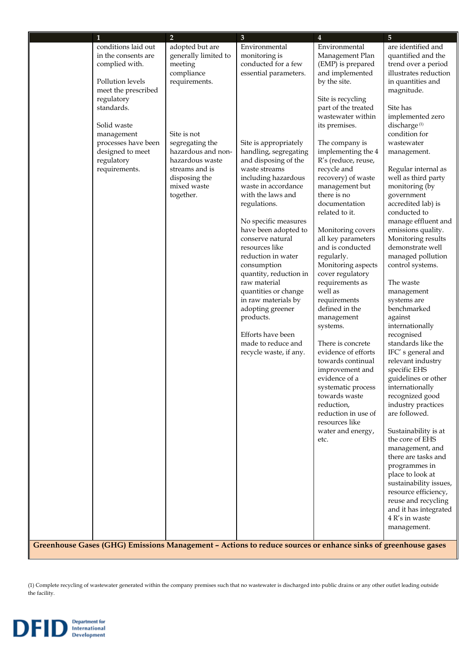| $\mathbf{1}$                            | 2 <sup>1</sup>       | $\mathbf{3}$                                                                                                 | $\overline{4}$                           | $\overline{5}$                          |
|-----------------------------------------|----------------------|--------------------------------------------------------------------------------------------------------------|------------------------------------------|-----------------------------------------|
| conditions laid out                     | adopted but are      | Environmental                                                                                                | Environmental                            | are identified and                      |
| in the consents are                     | generally limited to | monitoring is                                                                                                | Management Plan                          | quantified and the                      |
| complied with.                          | meeting              | conducted for a few                                                                                          | (EMP) is prepared                        | trend over a period                     |
|                                         | compliance           | essential parameters.                                                                                        | and implemented                          | illustrates reduction                   |
| Pollution levels<br>meet the prescribed | requirements.        |                                                                                                              | by the site.                             | in quantities and<br>magnitude.         |
| regulatory                              |                      |                                                                                                              | Site is recycling                        |                                         |
| standards.                              |                      |                                                                                                              | part of the treated<br>wastewater within | Site has<br>implemented zero            |
| Solid waste                             |                      |                                                                                                              | its premises.                            | discharge <sup>(1)</sup>                |
| management                              | Site is not          |                                                                                                              |                                          | condition for                           |
| processes have been                     | segregating the      | Site is appropriately                                                                                        | The company is                           | wastewater                              |
| designed to meet                        | hazardous and non-   | handling, segregating                                                                                        | implementing the 4                       | management.                             |
| regulatory                              | hazardous waste      | and disposing of the                                                                                         | R's (reduce, reuse,                      |                                         |
| requirements.                           | streams and is       | waste streams                                                                                                | recycle and                              | Regular internal as                     |
|                                         | disposing the        | including hazardous                                                                                          | recovery) of waste                       | well as third party                     |
|                                         | mixed waste          | waste in accordance                                                                                          | management but                           | monitoring (by                          |
|                                         | together.            | with the laws and                                                                                            | there is no                              | government                              |
|                                         |                      | regulations.                                                                                                 | documentation<br>related to it.          | accredited lab) is<br>conducted to      |
|                                         |                      | No specific measures                                                                                         |                                          | manage effluent and                     |
|                                         |                      | have been adopted to                                                                                         | Monitoring covers                        | emissions quality.                      |
|                                         |                      | conserve natural                                                                                             | all key parameters                       | Monitoring results                      |
|                                         |                      | resources like                                                                                               | and is conducted                         | demonstrate well                        |
|                                         |                      | reduction in water                                                                                           | regularly.                               | managed pollution                       |
|                                         |                      | consumption                                                                                                  | Monitoring aspects                       | control systems.                        |
|                                         |                      | quantity, reduction in<br>raw material                                                                       | cover regulatory<br>requirements as      | The waste                               |
|                                         |                      | quantities or change                                                                                         | well as                                  | management                              |
|                                         |                      | in raw materials by                                                                                          | requirements                             | systems are                             |
|                                         |                      | adopting greener                                                                                             | defined in the                           | benchmarked                             |
|                                         |                      | products.                                                                                                    | management                               | against                                 |
|                                         |                      |                                                                                                              | systems.                                 | internationally                         |
|                                         |                      | Efforts have been                                                                                            |                                          | recognised                              |
|                                         |                      | made to reduce and                                                                                           | There is concrete                        | standards like the                      |
|                                         |                      | recycle waste, if any.                                                                                       | evidence of efforts<br>towards continual | IFC's general and<br>relevant industry  |
|                                         |                      |                                                                                                              | improvement and                          | specific EHS                            |
|                                         |                      |                                                                                                              | evidence of a                            | guidelines or other                     |
|                                         |                      |                                                                                                              | systematic process                       | internationally                         |
|                                         |                      |                                                                                                              | towards waste                            | recognized good                         |
|                                         |                      |                                                                                                              | reduction,                               | industry practices                      |
|                                         |                      |                                                                                                              | reduction in use of                      | are followed.                           |
|                                         |                      |                                                                                                              | resources like                           |                                         |
|                                         |                      |                                                                                                              | water and energy,<br>etc.                | Sustainability is at<br>the core of EHS |
|                                         |                      |                                                                                                              |                                          | management, and                         |
|                                         |                      |                                                                                                              |                                          | there are tasks and                     |
|                                         |                      |                                                                                                              |                                          | programmes in                           |
|                                         |                      |                                                                                                              |                                          | place to look at                        |
|                                         |                      |                                                                                                              |                                          | sustainability issues,                  |
|                                         |                      |                                                                                                              |                                          | resource efficiency,                    |
|                                         |                      |                                                                                                              |                                          | reuse and recycling                     |
|                                         |                      |                                                                                                              |                                          | and it has integrated<br>4 R's in waste |
|                                         |                      |                                                                                                              |                                          | management.                             |
|                                         |                      |                                                                                                              |                                          |                                         |
|                                         |                      | Greenhouse Gases (GHG) Emissions Management - Actions to reduce sources or enhance sinks of greenhouse gases |                                          |                                         |

(1) Complete recycling of wastewater generated within the company premises such that no wastewater is discharged into public drains or any other outlet leading outside the facility.

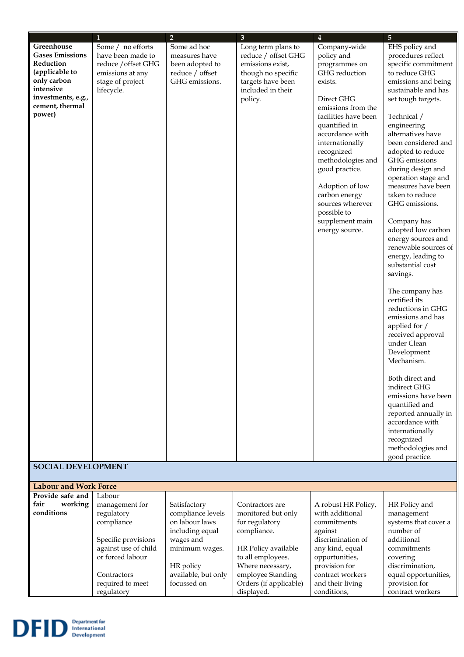|                              | 1                              | $\overline{2}$                     | $\mathbf{3}$                         | $\overline{\mathbf{4}}$         | $\overline{5}$                           |
|------------------------------|--------------------------------|------------------------------------|--------------------------------------|---------------------------------|------------------------------------------|
| Greenhouse                   | Some / no efforts              | Some ad hoc                        | Long term plans to                   | Company-wide                    | EHS policy and                           |
| <b>Gases Emissions</b>       | have been made to              | measures have                      | reduce / offset GHG                  | policy and                      | procedures reflect                       |
| Reduction                    | reduce / offset GHG            | been adopted to                    | emissions exist,                     | programmes on                   | specific commitment                      |
| (applicable to               | emissions at any               | reduce / offset                    | though no specific                   | GHG reduction                   | to reduce GHG                            |
| only carbon                  | stage of project               | GHG emissions.                     | targets have been                    | exists.                         | emissions and being                      |
| intensive                    | lifecycle.                     |                                    | included in their                    |                                 | sustainable and has                      |
| investments, e.g.,           |                                |                                    | policy.                              | Direct GHG                      | set tough targets.                       |
| cement, thermal              |                                |                                    |                                      | emissions from the              |                                          |
| power)                       |                                |                                    |                                      | facilities have been            | Technical /                              |
|                              |                                |                                    |                                      | quantified in                   | engineering                              |
|                              |                                |                                    |                                      | accordance with                 | alternatives have                        |
|                              |                                |                                    |                                      | internationally                 | been considered and                      |
|                              |                                |                                    |                                      | recognized                      | adopted to reduce                        |
|                              |                                |                                    |                                      | methodologies and               | GHG emissions                            |
|                              |                                |                                    |                                      | good practice.                  | during design and<br>operation stage and |
|                              |                                |                                    |                                      | Adoption of low                 | measures have been                       |
|                              |                                |                                    |                                      | carbon energy                   | taken to reduce                          |
|                              |                                |                                    |                                      | sources wherever                | GHG emissions.                           |
|                              |                                |                                    |                                      | possible to                     |                                          |
|                              |                                |                                    |                                      | supplement main                 | Company has                              |
|                              |                                |                                    |                                      | energy source.                  | adopted low carbon                       |
|                              |                                |                                    |                                      |                                 | energy sources and                       |
|                              |                                |                                    |                                      |                                 | renewable sources of                     |
|                              |                                |                                    |                                      |                                 | energy, leading to                       |
|                              |                                |                                    |                                      |                                 | substantial cost                         |
|                              |                                |                                    |                                      |                                 | savings.                                 |
|                              |                                |                                    |                                      |                                 |                                          |
|                              |                                |                                    |                                      |                                 | The company has                          |
|                              |                                |                                    |                                      |                                 | certified its                            |
|                              |                                |                                    |                                      |                                 | reductions in GHG<br>emissions and has   |
|                              |                                |                                    |                                      |                                 | applied for /                            |
|                              |                                |                                    |                                      |                                 | received approval                        |
|                              |                                |                                    |                                      |                                 | under Clean                              |
|                              |                                |                                    |                                      |                                 | Development                              |
|                              |                                |                                    |                                      |                                 | Mechanism.                               |
|                              |                                |                                    |                                      |                                 |                                          |
|                              |                                |                                    |                                      |                                 | Both direct and                          |
|                              |                                |                                    |                                      |                                 | indirect GHG                             |
|                              |                                |                                    |                                      |                                 | emissions have been                      |
|                              |                                |                                    |                                      |                                 | quantified and                           |
|                              |                                |                                    |                                      |                                 | reported annually in                     |
|                              |                                |                                    |                                      |                                 | accordance with                          |
|                              |                                |                                    |                                      |                                 | internationally                          |
|                              |                                |                                    |                                      |                                 | recognized                               |
|                              |                                |                                    |                                      |                                 | methodologies and<br>good practice.      |
| <b>SOCIAL DEVELOPMENT</b>    |                                |                                    |                                      |                                 |                                          |
|                              |                                |                                    |                                      |                                 |                                          |
| <b>Labour and Work Force</b> |                                |                                    |                                      |                                 |                                          |
| Provide safe and             | Labour                         |                                    |                                      |                                 |                                          |
| working<br>fair              | management for                 | Satisfactory                       | Contractors are                      | A robust HR Policy,             | HR Policy and                            |
| conditions                   | regulatory                     | compliance levels                  | monitored but only                   | with additional                 | management                               |
|                              | compliance                     | on labour laws                     | for regulatory                       | commitments                     | systems that cover a                     |
|                              |                                | including equal                    | compliance.                          | against                         | number of                                |
|                              | Specific provisions            | wages and                          |                                      | discrimination of               | additional                               |
|                              | against use of child           | minimum wages.                     | HR Policy available                  | any kind, equal                 | commitments                              |
|                              | or forced labour               |                                    | to all employees.                    | opportunities,                  | covering                                 |
|                              |                                | HR policy                          | Where necessary,                     | provision for                   | discrimination,                          |
|                              | Contractors                    | available, but only<br>focussed on | employee Standing                    | contract workers                | equal opportunities,                     |
|                              | required to meet<br>regulatory |                                    | Orders (if applicable)<br>displayed. | and their living<br>conditions, | provision for<br>contract workers        |
|                              |                                |                                    |                                      |                                 |                                          |

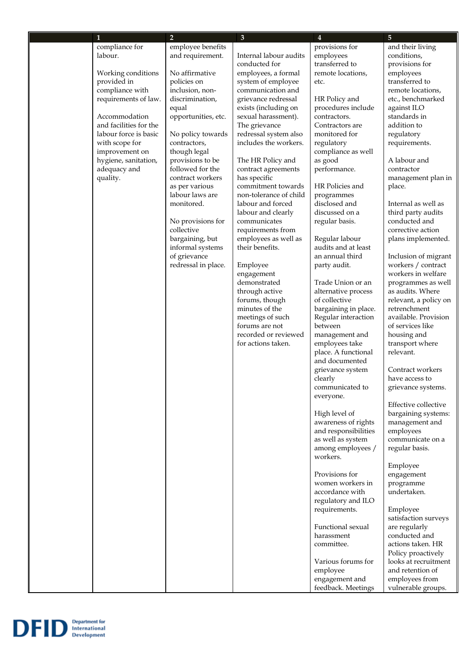| $\mathbf{1}$                                    | 2 <sup>1</sup>                  | $\mathbf{3}$                               | 4                                      | 5                                        |
|-------------------------------------------------|---------------------------------|--------------------------------------------|----------------------------------------|------------------------------------------|
| compliance for                                  | employee benefits               |                                            | provisions for                         | and their living                         |
| labour.                                         | and requirement.                | Internal labour audits                     | employees                              | conditions,                              |
|                                                 |                                 | conducted for                              | transferred to                         | provisions for                           |
| Working conditions                              | No affirmative                  | employees, a formal                        | remote locations,                      | employees                                |
| provided in                                     | policies on                     | system of employee                         | etc.                                   | transferred to                           |
| compliance with                                 | inclusion, non-                 | communication and                          |                                        | remote locations,                        |
| requirements of law.                            | discrimination,                 | grievance redressal                        | HR Policy and                          | etc., benchmarked                        |
|                                                 | equal                           | exists (including on                       | procedures include                     | against ILO                              |
| Accommodation                                   | opportunities, etc.             | sexual harassment).                        | contractors.                           | standards in                             |
| and facilities for the<br>labour force is basic | No policy towards               | The grievance<br>redressal system also     | Contractors are<br>monitored for       | addition to<br>regulatory                |
| with scope for                                  | contractors,                    | includes the workers.                      | regulatory                             | requirements.                            |
| improvement on                                  | though legal                    |                                            | compliance as well                     |                                          |
| hygiene, sanitation,                            | provisions to be                | The HR Policy and                          | as good                                | A labour and                             |
| adequacy and                                    | followed for the                | contract agreements                        | performance.                           | contractor                               |
| quality.                                        | contract workers                | has specific                               |                                        | management plan in                       |
|                                                 | as per various                  | commitment towards                         | HR Policies and                        | place.                                   |
|                                                 | labour laws are                 | non-tolerance of child                     | programmes                             |                                          |
|                                                 | monitored.                      | labour and forced                          | disclosed and                          | Internal as well as                      |
|                                                 |                                 | labour and clearly                         | discussed on a                         | third party audits                       |
|                                                 | No provisions for<br>collective | communicates                               | regular basis.                         | conducted and                            |
|                                                 | bargaining, but                 | requirements from<br>employees as well as  | Regular labour                         | corrective action                        |
|                                                 | informal systems                | their benefits.                            | audits and at least                    | plans implemented.                       |
|                                                 | of grievance                    |                                            | an annual third                        | Inclusion of migrant                     |
|                                                 | redressal in place.             | Employee                                   | party audit.                           | workers / contract                       |
|                                                 |                                 | engagement                                 |                                        | workers in welfare                       |
|                                                 |                                 | demonstrated                               | Trade Union or an                      | programmes as well                       |
|                                                 |                                 | through active                             | alternative process                    | as audits. Where                         |
|                                                 |                                 | forums, though                             | of collective                          | relevant, a policy on                    |
|                                                 |                                 | minutes of the                             | bargaining in place.                   | retrenchment                             |
|                                                 |                                 | meetings of such                           | Regular interaction                    | available. Provision                     |
|                                                 |                                 | forums are not                             | between                                | of services like                         |
|                                                 |                                 | recorded or reviewed<br>for actions taken. | management and<br>employees take       | housing and                              |
|                                                 |                                 |                                            | place. A functional                    | transport where<br>relevant.             |
|                                                 |                                 |                                            | and documented                         |                                          |
|                                                 |                                 |                                            | grievance system                       | Contract workers                         |
|                                                 |                                 |                                            | clearly                                | have access to                           |
|                                                 |                                 |                                            | communicated to                        | grievance systems.                       |
|                                                 |                                 |                                            | everyone.                              |                                          |
|                                                 |                                 |                                            |                                        | Effective collective                     |
|                                                 |                                 |                                            | High level of                          | bargaining systems:                      |
|                                                 |                                 |                                            | awareness of rights                    | management and                           |
|                                                 |                                 |                                            | and responsibilities                   | employees                                |
|                                                 |                                 |                                            | as well as system<br>among employees / | communicate on a                         |
|                                                 |                                 |                                            | workers.                               | regular basis.                           |
|                                                 |                                 |                                            |                                        | Employee                                 |
|                                                 |                                 |                                            | Provisions for                         | engagement                               |
|                                                 |                                 |                                            | women workers in                       | programme                                |
|                                                 |                                 |                                            | accordance with                        | undertaken.                              |
|                                                 |                                 |                                            | regulatory and ILO                     |                                          |
|                                                 |                                 |                                            | requirements.                          | Employee                                 |
|                                                 |                                 |                                            |                                        | satisfaction surveys                     |
|                                                 |                                 |                                            | Functional sexual                      | are regularly                            |
|                                                 |                                 |                                            | harassment                             | conducted and                            |
|                                                 |                                 |                                            | committee.                             | actions taken. HR                        |
|                                                 |                                 |                                            |                                        | Policy proactively                       |
|                                                 |                                 |                                            | Various forums for<br>employee         | looks at recruitment<br>and retention of |
|                                                 |                                 |                                            | engagement and                         | employees from                           |
|                                                 |                                 |                                            | feedback. Meetings                     | vulnerable groups.                       |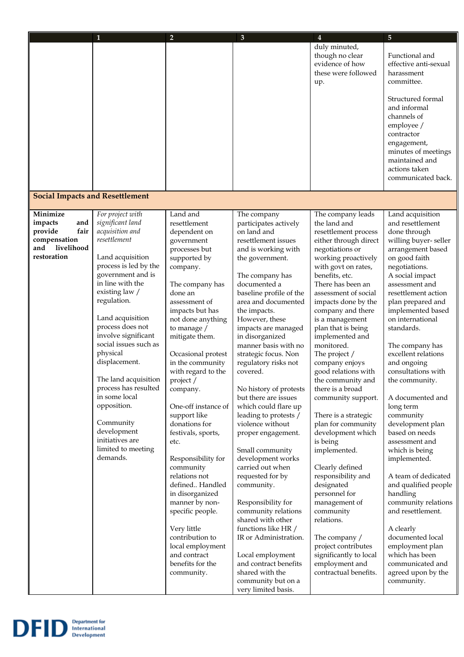| duly minuted,<br>though no clear<br>Functional and<br>evidence of how<br>these were followed<br>harassment<br>committee.<br>up.<br>Structured formal<br>and informal<br>channels of<br>employee /<br>contractor<br>engagement,<br>maintained and<br>actions taken<br><b>Social Impacts and Resettlement</b><br>Minimize<br>For project with<br>Land and<br>The company leads<br>Land acquisition<br>The company<br>significant land<br>impacts<br>and<br>resettlement<br>participates actively<br>the land and<br>and resettlement<br>provide<br>fair<br>acquisition and<br>on land and<br>done through<br>dependent on<br>resettlement process<br>resettlement<br>compensation<br>resettlement issues<br>either through direct<br>government<br>livelihood<br>and<br>processes but<br>and is working with<br>negotiations or<br>arrangement based<br>restoration<br>Land acquisition<br>supported by<br>working proactively<br>on good faith<br>the government.<br>process is led by the<br>with govt on rates,<br>negotiations.<br>company.<br>government and is<br>benefits, etc.<br>A social impact<br>The company has<br>in line with the<br>documented a<br>There has been an<br>assessment and<br>The company has<br>existing law /<br>baseline profile of the<br>assessment of social<br>resettlement action<br>done an<br>regulation.<br>area and documented<br>impacts done by the<br>plan prepared and<br>assessment of<br>impacts but has<br>the impacts.<br>company and there<br>implemented based<br>Land acquisition<br>not done anything<br>However, these<br>is a management<br>on international<br>process does not<br>to manage /<br>impacts are managed<br>plan that is being<br>standards.<br>involve significant<br>mitigate them.<br>in disorganized<br>implemented and<br>social issues such as<br>manner basis with no<br>monitored.<br>The company has<br>physical<br>strategic focus. Non<br>excellent relations<br>Occasional protest<br>The project /<br>displacement.<br>in the community<br>regulatory risks not<br>and ongoing<br>company enjoys<br>with regard to the<br>covered.<br>consultations with<br>good relations with<br>The land acquisition<br>the community.<br>project /<br>the community and<br>process has resulted<br>No history of protests<br>there is a broad<br>company.<br>in some local<br>but there are issues<br>community support.<br>A documented and<br>opposition.<br>One-off instance of<br>which could flare up<br>long term<br>support like<br>leading to protests /<br>community<br>There is a strategic<br>Community<br>donations for<br>violence without<br>plan for community<br>development plan<br>development<br>based on needs<br>festivals, sports,<br>development which<br>proper engagement.<br>initiatives are<br>is being<br>assessment and<br>etc.<br>limited to meeting<br>Small community<br>implemented.<br>which is being<br>demands.<br>development works<br>Responsibility for<br>implemented.<br>carried out when<br>Clearly defined<br>community<br>relations not<br>requested for by<br>responsibility and<br>designated<br>defined Handled<br>community.<br>in disorganized<br>personnel for<br>handling<br>manner by non-<br>Responsibility for<br>management of<br>and resettlement.<br>specific people.<br>community relations<br>community<br>relations. | $\mathbf{1}$ | $\overline{2}$ | $\mathbf{3}$      | $\overline{\mathbf{4}}$ | $\overline{5}$                                                                             |
|------------------------------------------------------------------------------------------------------------------------------------------------------------------------------------------------------------------------------------------------------------------------------------------------------------------------------------------------------------------------------------------------------------------------------------------------------------------------------------------------------------------------------------------------------------------------------------------------------------------------------------------------------------------------------------------------------------------------------------------------------------------------------------------------------------------------------------------------------------------------------------------------------------------------------------------------------------------------------------------------------------------------------------------------------------------------------------------------------------------------------------------------------------------------------------------------------------------------------------------------------------------------------------------------------------------------------------------------------------------------------------------------------------------------------------------------------------------------------------------------------------------------------------------------------------------------------------------------------------------------------------------------------------------------------------------------------------------------------------------------------------------------------------------------------------------------------------------------------------------------------------------------------------------------------------------------------------------------------------------------------------------------------------------------------------------------------------------------------------------------------------------------------------------------------------------------------------------------------------------------------------------------------------------------------------------------------------------------------------------------------------------------------------------------------------------------------------------------------------------------------------------------------------------------------------------------------------------------------------------------------------------------------------------------------------------------------------------------------------------------------------------------------------------------------------------------------------------------------------------------------------------------------------------------------------------------------------------------------------------------------------------------------------------------------------------------------------------------------------------------------------------------------------------------------------------------------------------------------------------------------------------------------------------------------------------------------------------------------|--------------|----------------|-------------------|-------------------------|--------------------------------------------------------------------------------------------|
|                                                                                                                                                                                                                                                                                                                                                                                                                                                                                                                                                                                                                                                                                                                                                                                                                                                                                                                                                                                                                                                                                                                                                                                                                                                                                                                                                                                                                                                                                                                                                                                                                                                                                                                                                                                                                                                                                                                                                                                                                                                                                                                                                                                                                                                                                                                                                                                                                                                                                                                                                                                                                                                                                                                                                                                                                                                                                                                                                                                                                                                                                                                                                                                                                                                                                                                                                      |              |                |                   |                         | effective anti-sexual                                                                      |
|                                                                                                                                                                                                                                                                                                                                                                                                                                                                                                                                                                                                                                                                                                                                                                                                                                                                                                                                                                                                                                                                                                                                                                                                                                                                                                                                                                                                                                                                                                                                                                                                                                                                                                                                                                                                                                                                                                                                                                                                                                                                                                                                                                                                                                                                                                                                                                                                                                                                                                                                                                                                                                                                                                                                                                                                                                                                                                                                                                                                                                                                                                                                                                                                                                                                                                                                                      |              |                |                   |                         | minutes of meetings<br>communicated back.                                                  |
|                                                                                                                                                                                                                                                                                                                                                                                                                                                                                                                                                                                                                                                                                                                                                                                                                                                                                                                                                                                                                                                                                                                                                                                                                                                                                                                                                                                                                                                                                                                                                                                                                                                                                                                                                                                                                                                                                                                                                                                                                                                                                                                                                                                                                                                                                                                                                                                                                                                                                                                                                                                                                                                                                                                                                                                                                                                                                                                                                                                                                                                                                                                                                                                                                                                                                                                                                      |              |                |                   |                         |                                                                                            |
| functions like HR /<br>Very little<br>A clearly<br>documented local<br>contribution to<br>IR or Administration.<br>The company /<br>project contributes<br>local employment<br>employment plan<br>and contract<br>significantly to local<br>which has been<br>Local employment<br>benefits for the<br>and contract benefits<br>employment and<br>communicated and                                                                                                                                                                                                                                                                                                                                                                                                                                                                                                                                                                                                                                                                                                                                                                                                                                                                                                                                                                                                                                                                                                                                                                                                                                                                                                                                                                                                                                                                                                                                                                                                                                                                                                                                                                                                                                                                                                                                                                                                                                                                                                                                                                                                                                                                                                                                                                                                                                                                                                                                                                                                                                                                                                                                                                                                                                                                                                                                                                                    |              |                | shared with other |                         | willing buyer-seller<br>A team of dedicated<br>and qualified people<br>community relations |

**DFID** Department for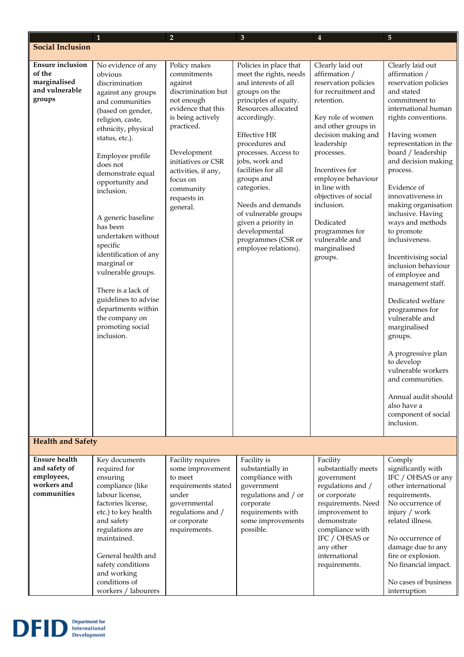|                                                                                   | 1                                                                                                                                                                                                                                                                                                                                                                                                                                                                                                                          | $\overline{2}$                                                                                                                                                                                                                                      | 3                                                                                                                                                                                                                                                                                                                                                                                                                                  | 4                                                                                                                                                                                                                                                                                                                                                                       | 5                                                                                                                                                                                                                                                                                                                                                                                                                                                                                                                                                                                                                                                                                                                |
|-----------------------------------------------------------------------------------|----------------------------------------------------------------------------------------------------------------------------------------------------------------------------------------------------------------------------------------------------------------------------------------------------------------------------------------------------------------------------------------------------------------------------------------------------------------------------------------------------------------------------|-----------------------------------------------------------------------------------------------------------------------------------------------------------------------------------------------------------------------------------------------------|------------------------------------------------------------------------------------------------------------------------------------------------------------------------------------------------------------------------------------------------------------------------------------------------------------------------------------------------------------------------------------------------------------------------------------|-------------------------------------------------------------------------------------------------------------------------------------------------------------------------------------------------------------------------------------------------------------------------------------------------------------------------------------------------------------------------|------------------------------------------------------------------------------------------------------------------------------------------------------------------------------------------------------------------------------------------------------------------------------------------------------------------------------------------------------------------------------------------------------------------------------------------------------------------------------------------------------------------------------------------------------------------------------------------------------------------------------------------------------------------------------------------------------------------|
| <b>Social Inclusion</b>                                                           |                                                                                                                                                                                                                                                                                                                                                                                                                                                                                                                            |                                                                                                                                                                                                                                                     |                                                                                                                                                                                                                                                                                                                                                                                                                                    |                                                                                                                                                                                                                                                                                                                                                                         |                                                                                                                                                                                                                                                                                                                                                                                                                                                                                                                                                                                                                                                                                                                  |
| <b>Ensure inclusion</b><br>of the<br>marginalised<br>and vulnerable<br>groups     | No evidence of any<br>obvious<br>discrimination<br>against any groups<br>and communities<br>(based on gender,<br>religion, caste,<br>ethnicity, physical<br>status, etc.).<br>Employee profile<br>does not<br>demonstrate equal<br>opportunity and<br>inclusion.<br>A generic baseline<br>has been<br>undertaken without<br>specific<br>identification of any<br>marginal or<br>vulnerable groups.<br>There is a lack of<br>guidelines to advise<br>departments within<br>the company on<br>promoting social<br>inclusion. | Policy makes<br>commitments<br>against<br>discrimination but<br>not enough<br>evidence that this<br>is being actively<br>practiced.<br>Development<br>initiatives or CSR<br>activities, if any,<br>focus on<br>community<br>requests in<br>general. | Policies in place that<br>meet the rights, needs<br>and interests of all<br>groups on the<br>principles of equity.<br>Resources allocated<br>accordingly.<br><b>Effective HR</b><br>procedures and<br>processes. Access to<br>jobs, work and<br>facilities for all<br>groups and<br>categories.<br>Needs and demands<br>of vulnerable groups<br>given a priority in<br>developmental<br>programmes (CSR or<br>employee relations). | Clearly laid out<br>affirmation /<br>reservation policies<br>for recruitment and<br>retention.<br>Key role of women<br>and other groups in<br>decision making and<br>leadership<br>processes.<br>Incentives for<br>employee behaviour<br>in line with<br>objectives of social<br>inclusion.<br>Dedicated<br>programmes for<br>vulnerable and<br>marginalised<br>groups. | Clearly laid out<br>affirmation /<br>reservation policies<br>and stated<br>commitment to<br>international human<br>rights conventions.<br>Having women<br>representation in the<br>board / leadership<br>and decision making<br>process.<br>Evidence of<br>innovativeness in<br>making organisation<br>inclusive. Having<br>ways and methods<br>to promote<br>inclusiveness.<br>Incentivising social<br>inclusion behaviour<br>of employee and<br>management staff.<br>Dedicated welfare<br>programmes for<br>vulnerable and<br>marginalised<br>groups.<br>A progressive plan<br>to develop<br>vulnerable workers<br>and communities.<br>Annual audit should<br>also have a<br>component of social<br>inclusion. |
| <b>Health and Safety</b>                                                          |                                                                                                                                                                                                                                                                                                                                                                                                                                                                                                                            |                                                                                                                                                                                                                                                     |                                                                                                                                                                                                                                                                                                                                                                                                                                    |                                                                                                                                                                                                                                                                                                                                                                         |                                                                                                                                                                                                                                                                                                                                                                                                                                                                                                                                                                                                                                                                                                                  |
| <b>Ensure health</b><br>and safety of<br>employees,<br>workers and<br>communities | Key documents<br>required for<br>ensuring<br>compliance (like<br>labour license,<br>factories license,<br>etc.) to key health<br>and safety<br>regulations are<br>maintained.<br>General health and<br>safety conditions<br>and working<br>conditions of<br>workers / labourers                                                                                                                                                                                                                                            | Facility requires<br>some improvement<br>to meet<br>requirements stated<br>under<br>governmental<br>regulations and /<br>or corporate<br>requirements.                                                                                              | Facility is<br>substantially in<br>compliance with<br>government<br>regulations and / or<br>corporate<br>requirements with<br>some improvements<br>possible.                                                                                                                                                                                                                                                                       | Facility<br>substantially meets<br>government<br>regulations and /<br>or corporate<br>requirements. Need<br>improvement to<br>demonstrate<br>compliance with<br>IFC / OHSAS or<br>any other<br>international<br>requirements.                                                                                                                                           | Comply<br>significantly with<br>IFC / OHSAS or any<br>other international<br>requirements.<br>No occurrence of<br>injury / work<br>related illness.<br>No occurrence of<br>damage due to any<br>fire or explosion.<br>No financial impact.<br>No cases of business<br>interruption                                                                                                                                                                                                                                                                                                                                                                                                                               |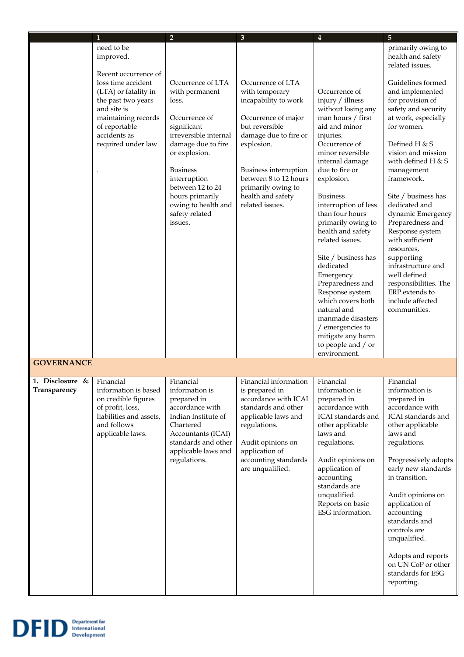|                                 | 1                                                                                                                                                                                                                 |                                                                                                                                                                                                                                                                                              | $\mathbf{3}$                                                                                                                                                                                                                                                | 4                                                                                                                                                                                                                                                                                                                                                                                                                                                                                                                                              | 5                                                                                                                                                                                                                                                                                                                                                                                                                                                                                                                                                     |
|---------------------------------|-------------------------------------------------------------------------------------------------------------------------------------------------------------------------------------------------------------------|----------------------------------------------------------------------------------------------------------------------------------------------------------------------------------------------------------------------------------------------------------------------------------------------|-------------------------------------------------------------------------------------------------------------------------------------------------------------------------------------------------------------------------------------------------------------|------------------------------------------------------------------------------------------------------------------------------------------------------------------------------------------------------------------------------------------------------------------------------------------------------------------------------------------------------------------------------------------------------------------------------------------------------------------------------------------------------------------------------------------------|-------------------------------------------------------------------------------------------------------------------------------------------------------------------------------------------------------------------------------------------------------------------------------------------------------------------------------------------------------------------------------------------------------------------------------------------------------------------------------------------------------------------------------------------------------|
|                                 | need to be<br>improved.<br>Recent occurrence of<br>loss time accident<br>(LTA) or fatality in<br>the past two years<br>and site is<br>maintaining records<br>of reportable<br>accidents as<br>required under law. | $\overline{2}$<br>Occurrence of LTA<br>with permanent<br>loss.<br>Occurrence of<br>significant<br>irreversible internal<br>damage due to fire<br>or explosion.<br><b>Business</b><br>interruption<br>between 12 to 24<br>hours primarily<br>owing to health and<br>safety related<br>issues. | Occurrence of LTA<br>with temporary<br>incapability to work<br>Occurrence of major<br>but reversible<br>damage due to fire or<br>explosion.<br>Business interruption<br>between 8 to 12 hours<br>primarily owing to<br>health and safety<br>related issues. | Occurrence of<br>injury / illness<br>without losing any<br>man hours / first<br>aid and minor<br>injuries.<br>Occurrence of<br>minor reversible<br>internal damage<br>due to fire or<br>explosion.<br><b>Business</b><br>interruption of less<br>than four hours<br>primarily owing to<br>health and safety<br>related issues.<br>Site / business has<br>dedicated<br>Emergency<br>Preparedness and<br>Response system<br>which covers both<br>natural and<br>manmade disasters<br>/ emergencies to<br>mitigate any harm<br>to people and / or | primarily owing to<br>health and safety<br>related issues.<br>Guidelines formed<br>and implemented<br>for provision of<br>safety and security<br>at work, especially<br>for women.<br>Defined H & S<br>vision and mission<br>with defined H $&$ S<br>management<br>framework.<br>Site / business has<br>dedicated and<br>dynamic Emergency<br>Preparedness and<br>Response system<br>with sufficient<br>resources,<br>supporting<br>infrastructure and<br>well defined<br>responsibilities. The<br>ERP extends to<br>include affected<br>communities. |
|                                 |                                                                                                                                                                                                                   |                                                                                                                                                                                                                                                                                              |                                                                                                                                                                                                                                                             | environment.                                                                                                                                                                                                                                                                                                                                                                                                                                                                                                                                   |                                                                                                                                                                                                                                                                                                                                                                                                                                                                                                                                                       |
| <b>GOVERNANCE</b>               |                                                                                                                                                                                                                   |                                                                                                                                                                                                                                                                                              |                                                                                                                                                                                                                                                             |                                                                                                                                                                                                                                                                                                                                                                                                                                                                                                                                                |                                                                                                                                                                                                                                                                                                                                                                                                                                                                                                                                                       |
| 1. Disclosure &<br>Transparency | Financial<br>information is based<br>on credible figures<br>of profit, loss,<br>liabilities and assets,<br>and follows<br>applicable laws.                                                                        | Financial<br>information is<br>prepared in<br>accordance with<br>Indian Institute of<br>Chartered<br>Accountants (ICAI)<br>standards and other<br>applicable laws and<br>regulations.                                                                                                        | Financial information<br>is prepared in<br>accordance with ICAI<br>standards and other<br>applicable laws and<br>regulations.<br>Audit opinions on<br>application of<br>accounting standards<br>are unqualified.                                            | Financial<br>information is<br>prepared in<br>accordance with<br>ICAI standards and<br>other applicable<br>laws and<br>regulations.<br>Audit opinions on<br>application of<br>accounting<br>standards are<br>unqualified.<br>Reports on basic<br>ESG information.                                                                                                                                                                                                                                                                              | Financial<br>information is<br>prepared in<br>accordance with<br>ICAI standards and<br>other applicable<br>laws and<br>regulations.<br>Progressively adopts<br>early new standards<br>in transition.<br>Audit opinions on<br>application of<br>accounting<br>standards and<br>controls are<br>unqualified.<br>Adopts and reports<br>on UN CoP or other<br>standards for ESG<br>reporting.                                                                                                                                                             |

**DFID** Department for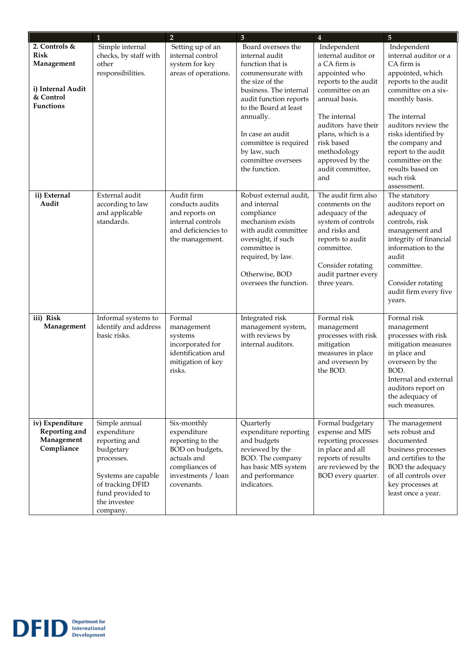|                                                                                                  | $\mathbf{1}$                                                                                                                                                        | $\overline{2}$                                                                                                                         | 3                                                                                                                                                                                                                                                                                              | $\overline{4}$                                                                                                                                                                                                                                                         | $\overline{5}$                                                                                                                                                                                                                                                                                                      |
|--------------------------------------------------------------------------------------------------|---------------------------------------------------------------------------------------------------------------------------------------------------------------------|----------------------------------------------------------------------------------------------------------------------------------------|------------------------------------------------------------------------------------------------------------------------------------------------------------------------------------------------------------------------------------------------------------------------------------------------|------------------------------------------------------------------------------------------------------------------------------------------------------------------------------------------------------------------------------------------------------------------------|---------------------------------------------------------------------------------------------------------------------------------------------------------------------------------------------------------------------------------------------------------------------------------------------------------------------|
| 2. Controls &<br><b>Risk</b><br>Management<br>i) Internal Audit<br>& Control<br><b>Functions</b> | Simple internal<br>checks, by staff with<br>other<br>responsibilities.                                                                                              | Setting up of an<br>internal control<br>system for key<br>areas of operations.                                                         | Board oversees the<br>internal audit<br>function that is<br>commensurate with<br>the size of the<br>business. The internal<br>audit function reports<br>to the Board at least<br>annually.<br>In case an audit<br>committee is required<br>by law, such<br>committee oversees<br>the function. | Independent<br>internal auditor or<br>a CA firm is<br>appointed who<br>reports to the audit<br>committee on an<br>annual basis.<br>The internal<br>auditors have their<br>plans, which is a<br>risk based<br>methodology<br>approved by the<br>audit committee,<br>and | Independent<br>internal auditor or a<br>CA firm is<br>appointed, which<br>reports to the audit<br>committee on a six-<br>monthly basis.<br>The internal<br>auditors review the<br>risks identified by<br>the company and<br>report to the audit<br>committee on the<br>results based on<br>such risk<br>assessment. |
| ii) External<br>Audit                                                                            | External audit<br>according to law<br>and applicable<br>standards.                                                                                                  | Audit firm<br>conducts audits<br>and reports on<br>internal controls<br>and deficiencies to<br>the management.                         | Robust external audit,<br>and internal<br>compliance<br>mechanism exists<br>with audit committee<br>oversight, if such<br>committee is<br>required, by law.<br>Otherwise, BOD<br>oversees the function.                                                                                        | The audit firm also<br>comments on the<br>adequacy of the<br>system of controls<br>and risks and<br>reports to audit<br>committee.<br>Consider rotating<br>audit partner every<br>three years.                                                                         | The statutory<br>auditors report on<br>adequacy of<br>controls, risk<br>management and<br>integrity of financial<br>information to the<br>audit<br>committee.<br>Consider rotating<br>audit firm every five<br>years.                                                                                               |
| iii) Risk<br>Management                                                                          | Informal systems to<br>identify and address<br>basic risks.                                                                                                         | Formal<br>management<br>systems<br>incorporated for<br>identification and<br>mitigation of key<br>risks.                               | Integrated risk<br>management system,<br>with reviews by<br>internal auditors.                                                                                                                                                                                                                 | Formal risk<br>management<br>processes with risk<br>mitigation<br>measures in place<br>and overseen by<br>the BOD.                                                                                                                                                     | Formal risk<br>management<br>processes with risk<br>mitigation measures<br>in place and<br>overseen by the<br>BOD.<br>Internal and external<br>auditors report on<br>the adequacy of<br>such measures.                                                                                                              |
| iv) Expenditure<br><b>Reporting and</b><br>Management<br>Compliance                              | Simple annual<br>expenditure<br>reporting and<br>budgetary<br>processes.<br>Systems are capable<br>of tracking DFID<br>fund provided to<br>the investee<br>company. | Six-monthly<br>expenditure<br>reporting to the<br>BOD on budgets,<br>actuals and<br>compliances of<br>investments / loan<br>covenants. | Quarterly<br>expenditure reporting<br>and budgets<br>reviewed by the<br>BOD. The company<br>has basic MIS system<br>and performance<br>indicators.                                                                                                                                             | Formal budgetary<br>expense and MIS<br>reporting processes<br>in place and all<br>reports of results<br>are reviewed by the<br>BOD every quarter.                                                                                                                      | The management<br>sets robust and<br>documented<br>business processes<br>and certifies to the<br>BOD the adequacy<br>of all controls over<br>key processes at<br>least once a year.                                                                                                                                 |

Department for<br>
International<br>
Development

**DF** 

Ш